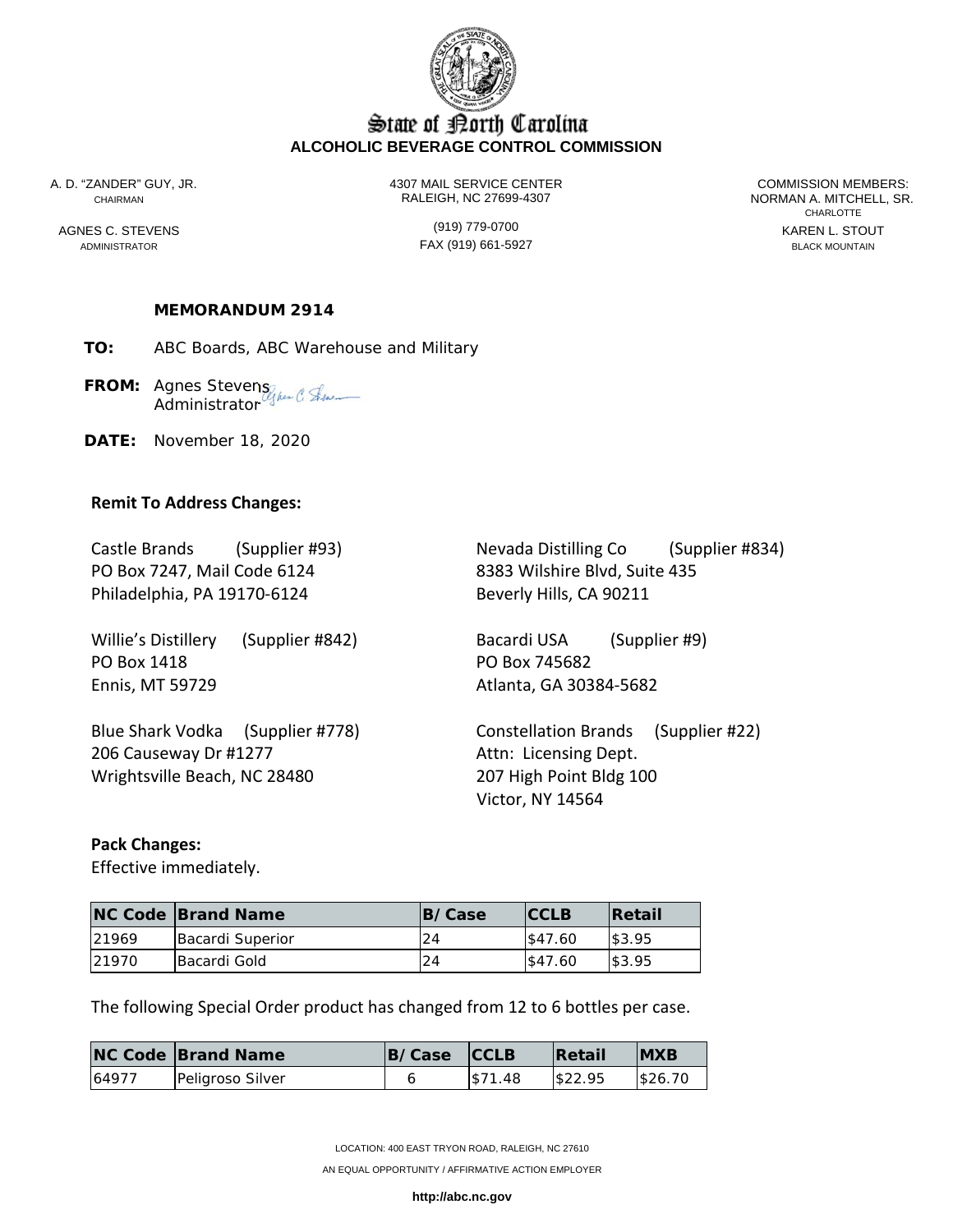

# State of Borth Carolina **ALCOHOLIC BEVERAGE CONTROL COMMISSION**

A. D. "ZANDER" GUY, JR. 4307 MAIL SERVICE CENTER COMMISSION MEMBERS: CHAIRMAN RALEIGH, NC 27699-4307 NORMAN A. MITCHELL, SR.

ADMINISTRATOR BLACK MOUNTAIN FAX (919) 661-5927

**CHARLOTTE** AGNES C. STEVENS GENERAL STOUT (919) 779-0700

## **MEMORANDUM 2914**

**TO:** ABC Boards, ABC Warehouse and Military

FROM: Agnes Stevens<sub>liker</sub> (1) Sku Administrator<sup>6</sup>

**DATE:** November 18, 2020

#### **Remit To Address Changes:**

PO Box 7247, Mail Code 6124 8383 Wilshire Blvd, Suite 435 Philadelphia, PA 19170-6124 Beverly Hills, CA 90211

Willie's Distillery (Supplier #842) Bacardi USA (Supplier #9) PO Box 1418 PO Box 745682 Ennis, MT 59729 **Atlanta**, GA 30384-5682

206 Causeway Dr #1277 Attn: Licensing Dept. Wrightsville Beach, NC 28480 207 High Point Bldg 100

Castle Brands (Supplier #93) Nevada Distilling Co (Supplier #834)

Blue Shark Vodka (Supplier #778) Constellation Brands (Supplier #22) Victor, NY 14564

#### **Pack Changes:**

Effective immediately.

|       | <b>NC Code Brand Name</b> | <b>B/Case</b> | <b>CCLB</b> | <b>Retail</b> |
|-------|---------------------------|---------------|-------------|---------------|
| 21969 | Bacardi Superior          | 24            | \$47.60     | \$3.95        |
| 21970 | Bacardi Gold              | 24            | \$47.60     | \$3.95        |

The following Special Order product has changed from 12 to 6 bottles per case.

|       | <b>NC Code Brand Name</b> | B/Case CCLB |          | <b>Retail</b> | <b>IMXB</b> |
|-------|---------------------------|-------------|----------|---------------|-------------|
| 64977 | Peligroso Silver          |             | 1\$71.48 | \$22.95       | \$26.70     |

LOCATION: 400 EAST TRYON ROAD, RALEIGH, NC 27610

AN EQUAL OPPORTUNITY / AFFIRMATIVE ACTION EMPLOYER

**http://abc.nc.gov**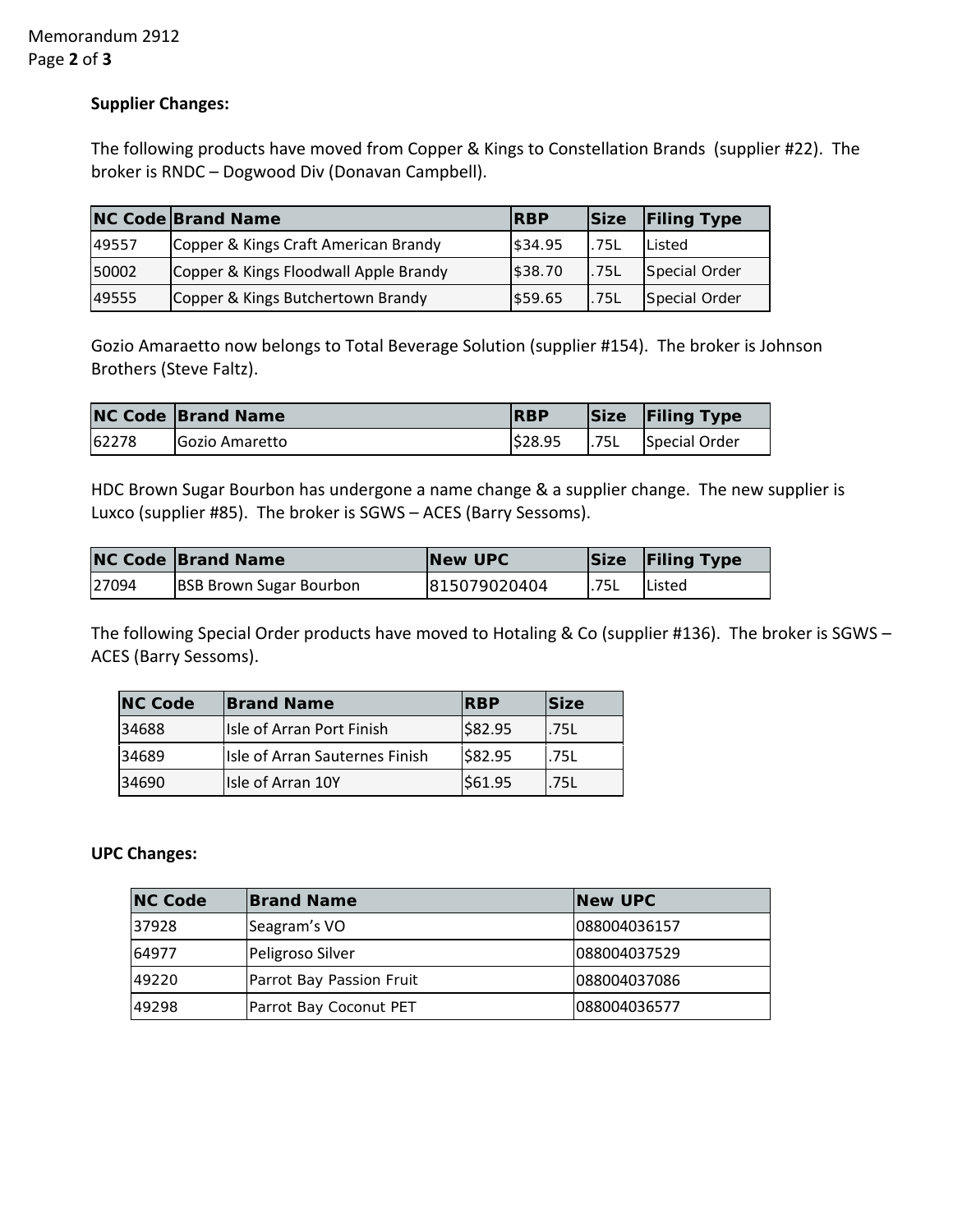Memorandum 2912 Page **2** of **3**

### **Supplier Changes:**

The following products have moved from Copper & Kings to Constellation Brands (supplier #22). The broker is RNDC – Dogwood Div (Donavan Campbell).

|       | <b>NC Code Brand Name</b>             | <b>RBP</b> | <b>Size</b> | <b>Filing Type</b> |
|-------|---------------------------------------|------------|-------------|--------------------|
| 49557 | Copper & Kings Craft American Brandy  | \$34.95    | .75L        | Listed             |
| 50002 | Copper & Kings Floodwall Apple Brandy | \$38.70    | .75L        | Special Order      |
| 49555 | Copper & Kings Butchertown Brandy     | \$59.65    | .75L        | Special Order      |

Gozio Amaraetto now belongs to Total Beverage Solution (supplier #154). The broker is Johnson Brothers (Steve Faltz).

|       | <b>NC Code Brand Name</b> | <b>RBP</b> |       | Size Filing Type |
|-------|---------------------------|------------|-------|------------------|
| 62278 | <b>IGozio Amaretto</b>    | \$28.95    | 1.75L | Special Order    |

HDC Brown Sugar Bourbon has undergone a name change & a supplier change. The new supplier is Luxco (supplier #85). The broker is SGWS – ACES (Barry Sessoms).

|       | <b>NC Code Brand Name</b>      | New UPC      |       | Size Filing Type |
|-------|--------------------------------|--------------|-------|------------------|
| 27094 | <b>BSB Brown Sugar Bourbon</b> | 815079020404 | 1.75L | <b>IListed</b>   |

The following Special Order products have moved to Hotaling & Co (supplier #136). The broker is SGWS – ACES (Barry Sessoms).

| <b>NC Code</b> | <b>Brand Name</b>              | <b>IRBP</b> | <b>Size</b> |
|----------------|--------------------------------|-------------|-------------|
| 34688          | Isle of Arran Port Finish      | \$82.95     | .75L        |
| 34689          | Isle of Arran Sauternes Finish | 582.95      | I.75L       |
| 34690          | Isle of Arran 10Y              | \$61.95     | .75L        |

#### **UPC Changes:**

| <b>NC Code</b> | <b>Brand Name</b>        | <b>New UPC</b> |
|----------------|--------------------------|----------------|
| 37928          | Seagram's VO             | 088004036157   |
| 64977          | Peligroso Silver         | 088004037529   |
| 49220          | Parrot Bay Passion Fruit | 088004037086   |
| 49298          | Parrot Bay Coconut PET   | 088004036577   |